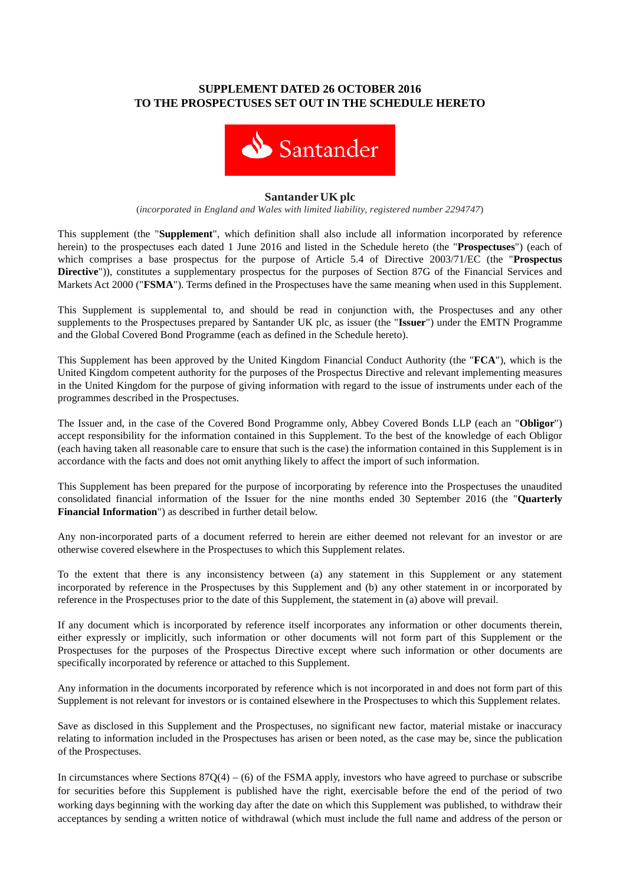# **SUPPLEMENT DATED 26 OCTOBER 2016 TO THE PROSPECTUSES SET OUT IN THE SCHEDULE HERETO**



#### **SantanderUKplc**

(*incorporated in England and Wales with limited liability, registered number 2294747*)

This supplement (the "**Supplement**", which definition shall also include all information incorporated by reference herein) to the prospectuses each dated 1 June 2016 and listed in the Schedule hereto (the "**Prospectuses**") (each of which comprises a base prospectus for the purpose of Article 5.4 of Directive 2003/71/EC (the "**Prospectus Directive**")), constitutes a supplementary prospectus for the purposes of Section 87G of the Financial Services and Markets Act 2000 ("**FSMA**"). Terms defined in the Prospectuses have the same meaning when used in this Supplement.

This Supplement is supplemental to, and should be read in conjunction with, the Prospectuses and any other supplements to the Prospectuses prepared by Santander UK plc, as issuer (the "**Issuer**") under the EMTN Programme and the Global Covered Bond Programme (each as defined in the Schedule hereto).

This Supplement has been approved by the United Kingdom Financial Conduct Authority (the "**FCA**"), which is the United Kingdom competent authority for the purposes of the Prospectus Directive and relevant implementing measures in the United Kingdom for the purpose of giving information with regard to the issue of instruments under each of the programmes described in the Prospectuses.

The Issuer and, in the case of the Covered Bond Programme only, Abbey Covered Bonds LLP (each an "**Obligor**") accept responsibility for the information contained in this Supplement. To the best of the knowledge of each Obligor (each having taken all reasonable care to ensure that such is the case) the information contained in this Supplement is in accordance with the facts and does not omit anything likely to affect the import of such information.

This Supplement has been prepared for the purpose of incorporating by reference into the Prospectuses the unaudited consolidated financial information of the Issuer for the nine months ended 30 September 2016 (the "**Quarterly Financial Information**") as described in further detail below.

Any non-incorporated parts of a document referred to herein are either deemed not relevant for an investor or are otherwise covered elsewhere in the Prospectuses to which this Supplement relates.

To the extent that there is any inconsistency between (a) any statement in this Supplement or any statement incorporated by reference in the Prospectuses by this Supplement and (b) any other statement in or incorporated by reference in the Prospectuses prior to the date of this Supplement, the statement in (a) above will prevail.

If any document which is incorporated by reference itself incorporates any information or other documents therein, either expressly or implicitly, such information or other documents will not form part of this Supplement or the Prospectuses for the purposes of the Prospectus Directive except where such information or other documents are specifically incorporated by reference or attached to this Supplement.

Any information in the documents incorporated by reference which is not incorporated in and does not form part of this Supplement is not relevant for investors or is contained elsewhere in the Prospectuses to which this Supplement relates.

Save as disclosed in this Supplement and the Prospectuses, no significant new factor, material mistake or inaccuracy relating to information included in the Prospectuses has arisen or been noted, as the case may be, since the publication of the Prospectuses.

In circumstances where Sections  $87Q(4) - (6)$  of the FSMA apply, investors who have agreed to purchase or subscribe for securities before this Supplement is published have the right, exercisable before the end of the period of two working days beginning with the working day after the date on which this Supplement was published, to withdraw their acceptances by sending a written notice of withdrawal (which must include the full name and address of the person or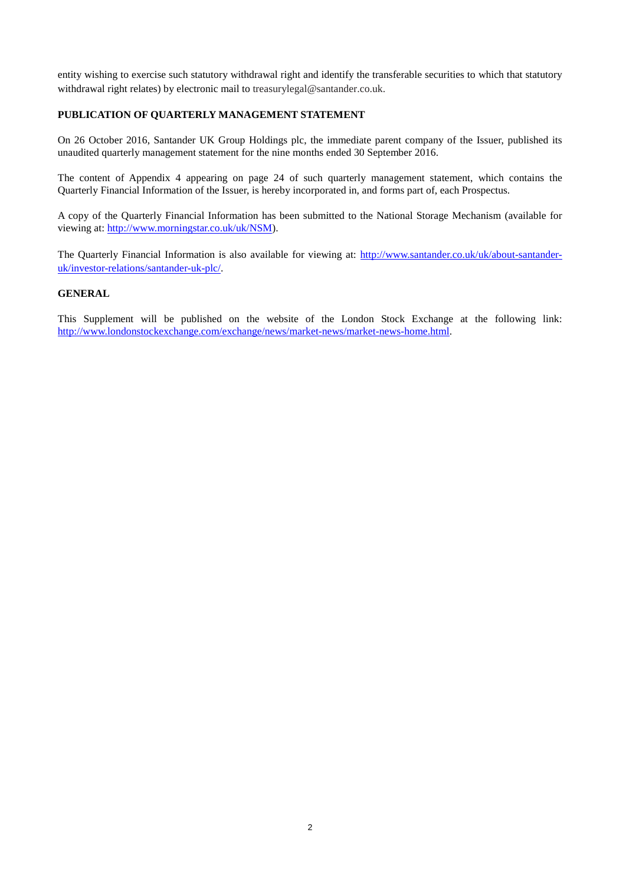entity wishing to exercise such statutory withdrawal right and identify the transferable securities to which that statutory withdrawal right relates) by electronic mail to treasurylegal@santander.co.uk.

## **PUBLICATION OF QUARTERLY MANAGEMENT STATEMENT**

On 26 October 2016, Santander UK Group Holdings plc, the immediate parent company of the Issuer, published its unaudited quarterly management statement for the nine months ended 30 September 2016.

The content of Appendix 4 appearing on page 24 of such quarterly management statement, which contains the Quarterly Financial Information of the Issuer, is hereby incorporated in, and forms part of, each Prospectus.

A copy of the Quarterly Financial Information has been submitted to the National Storage Mechanism (available for viewing at: [http://www.morningstar.co.uk/uk/NSM\)](http://www.morningstar.co.uk/uk/NSM).

The Quarterly Financial Information is also available for viewing at: [http://www.santander.co.uk/uk/about-santander](http://www.santander.co.uk/uk/about-santander-uk/investor-relations/santander-uk-plc/)[uk/investor-relations/santander-uk-plc/.](http://www.santander.co.uk/uk/about-santander-uk/investor-relations/santander-uk-plc/)

## **GENERAL**

This Supplement will be published on the website of the London Stock Exchange at the following link: [http://www.londonstockexchange.com/exchange/news/market-news/market-news-home.html.](http://www.londonstockexchange.com/exchange/news/market-news/market-news-home.html)